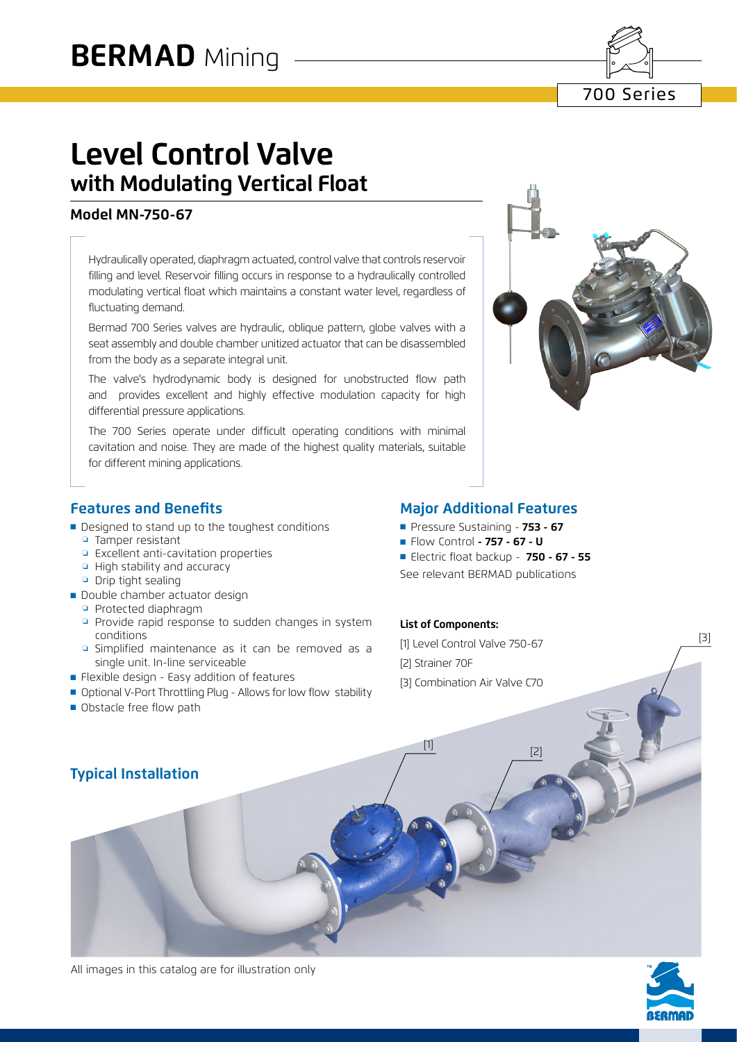700 Series

# **Level Control Valve with Modulating Vertical Float**

# **Model MN-750-67**

Hydraulically operated, diaphragm actuated, control valve that controls reservoir filling and level. Reservoir filling occurs in response to a hydraulically controlled modulating vertical float which maintains a constant water level, regardless of fluctuating demand.

Bermad 700 Series valves are hydraulic, oblique pattern, globe valves with a seat assembly and double chamber unitized actuator that can be disassembled from the body as a separate integral unit.

The valve's hydrodynamic body is designed for unobstructed flow path and provides excellent and highly effective modulation capacity for high differential pressure applications.

The 700 Series operate under difficult operating conditions with minimal cavitation and noise. They are made of the highest quality materials, suitable for different mining applications.



# **Features and Benefits**

- Designed to stand up to the toughest conditions
	- ❏ Tamper resistant
	- ❏ Excellent anti-cavitation properties
	- ❏ High stability and accuracy
	- ❏ Drip tight sealing
- Double chamber actuator design
	- ❏ Protected diaphragm
	- ❏ Provide rapid response to sudden changes in system conditions
	- ❏ Simplified maintenance as it can be removed as a single unit. In-line serviceable
- Flexible design Easy addition of features
- Optional V-Port Throttling Plug Allows for low flow stability
- Obstacle free flow path

# **Major Additional Features**

- ■ Pressure Sustaining - **753 67**
- ■ Flow Control  **757 67 U**

■ Electric float backup - **750 - 67 - 55** See relevant BERMAD publications

#### **List of Components:**

[1] Level Control Valve 750-67 [2] Strainer 70F [3] Combination Air Valve C70

 $\frac{[1]}{[2]}$ 

# **Typical Installation**



[3]

All images in this catalog are for illustration only